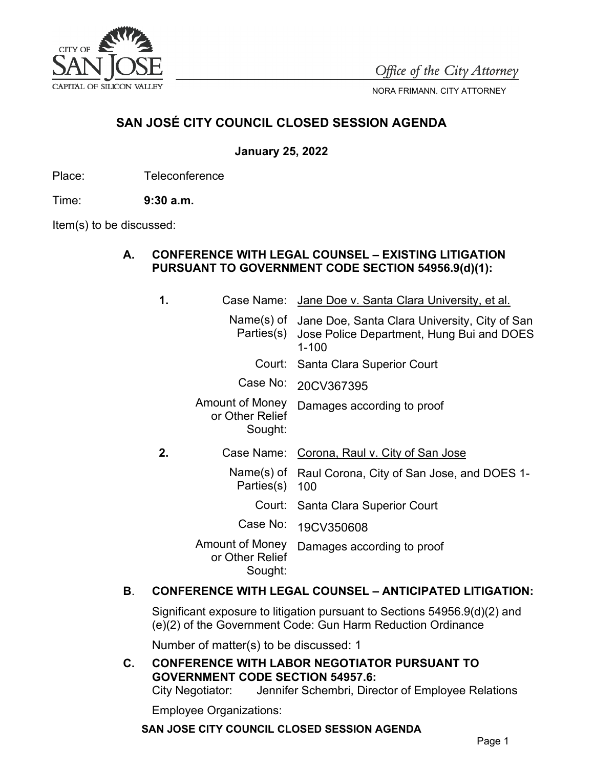

Office of the City Attorney

NORA FRIMANN, CITY ATTORNEY

# **SAN JOSÉ CITY COUNCIL CLOSED SESSION AGENDA**

**January 25, 2022**

Place: Teleconference

Time: **9:30 a.m.**

Item(s) to be discussed:

### **A. CONFERENCE WITH LEGAL COUNSEL – EXISTING LITIGATION PURSUANT TO GOVERNMENT CODE SECTION 54956.9(d)(1):**

| 1.      |                                               | Case Name: Jane Doe v. Santa Clara University, et al.                                                              |
|---------|-----------------------------------------------|--------------------------------------------------------------------------------------------------------------------|
|         | Parties(s)                                    | Name(s) of Jane Doe, Santa Clara University, City of San<br>Jose Police Department, Hung Bui and DOES<br>$1 - 100$ |
|         |                                               | Court: Santa Clara Superior Court                                                                                  |
|         | Case No:                                      | 20CV367395                                                                                                         |
|         | Amount of Money<br>or Other Relief<br>Sought: | Damages according to proof                                                                                         |
|         |                                               |                                                                                                                    |
| $2_{-}$ |                                               | Case Name: Corona, Raul v. City of San Jose                                                                        |
|         | Parties(s)                                    | Name(s) of Raul Corona, City of San Jose, and DOES 1-<br>100                                                       |
|         |                                               | Court: Santa Clara Superior Court                                                                                  |
|         | Case No:                                      | 19CV350608                                                                                                         |

## **B**. **CONFERENCE WITH LEGAL COUNSEL – ANTICIPATED LITIGATION:**

Significant exposure to litigation pursuant to Sections 54956.9(d)(2) and (e)(2) of the Government Code: Gun Harm Reduction Ordinance

Number of matter(s) to be discussed: 1

## **C. CONFERENCE WITH LABOR NEGOTIATOR PURSUANT TO GOVERNMENT CODE SECTION 54957.6:**

City Negotiator: Jennifer Schembri, Director of Employee Relations

Employee Organizations:

### **SAN JOSE CITY COUNCIL CLOSED SESSION AGENDA**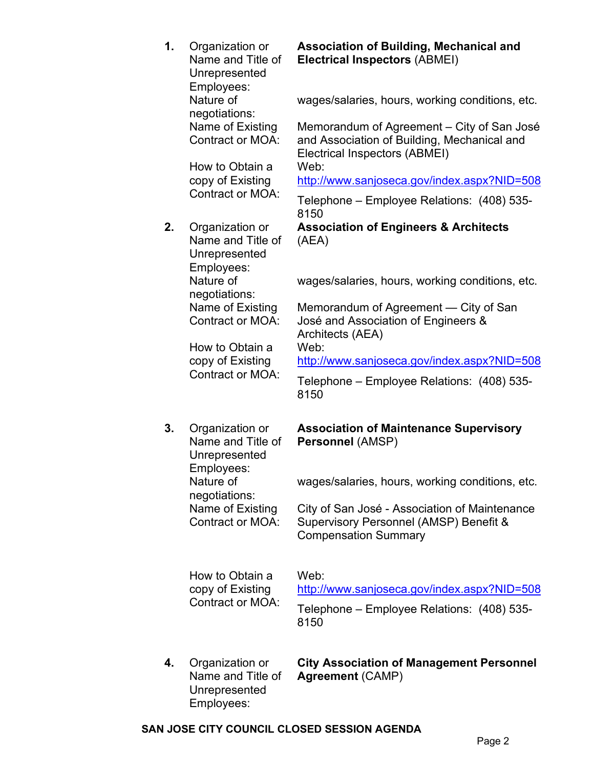| 1. | Organization or<br>Name and Title of<br>Unrepresented<br>Employees:<br>Nature of<br>negotiations:<br>Name of Existing<br>Contract or MOA:<br>How to Obtain a<br>copy of Existing<br><b>Contract or MOA:</b>        | <b>Association of Building, Mechanical and</b><br><b>Electrical Inspectors (ABMEI)</b><br>wages/salaries, hours, working conditions, etc.<br>Memorandum of Agreement - City of San José<br>and Association of Building, Mechanical and<br>Electrical Inspectors (ABMEI)<br>Web:<br>http://www.sanjoseca.gov/index.aspx?NID=508<br>Telephone – Employee Relations: (408) 535- |
|----|--------------------------------------------------------------------------------------------------------------------------------------------------------------------------------------------------------------------|------------------------------------------------------------------------------------------------------------------------------------------------------------------------------------------------------------------------------------------------------------------------------------------------------------------------------------------------------------------------------|
| 2. | Organization or<br>Name and Title of<br>Unrepresented<br>Employees:<br>Nature of<br>negotiations:<br>Name of Existing<br><b>Contract or MOA:</b><br>How to Obtain a<br>copy of Existing<br><b>Contract or MOA:</b> | 8150<br><b>Association of Engineers &amp; Architects</b><br>(AEA)<br>wages/salaries, hours, working conditions, etc.<br>Memorandum of Agreement — City of San<br>José and Association of Engineers &<br>Architects (AEA)<br>Web:<br>http://www.sanjoseca.gov/index.aspx?NID=508<br>Telephone – Employee Relations: (408) 535-<br>8150                                        |
| 3. | Organization or<br>Name and Title of<br>Unrepresented<br>Employees:<br>Nature of<br>negotiations:<br>Name of Existing<br><b>Contract or MOA:</b><br>How to Obtain a<br>copy of Existing<br><b>Contract or MOA:</b> | <b>Association of Maintenance Supervisory</b><br>Personnel (AMSP)<br>wages/salaries, hours, working conditions, etc.<br>City of San José - Association of Maintenance<br>Supervisory Personnel (AMSP) Benefit &<br><b>Compensation Summary</b><br>Web:<br>http://www.sanjoseca.gov/index.aspx?NID=508<br>Telephone – Employee Relations: (408) 535-<br>8150                  |
| 4. | Organization or<br>Name and Title of<br>Unrepresented<br>Employees:                                                                                                                                                | <b>City Association of Management Personnel</b><br><b>Agreement (CAMP)</b>                                                                                                                                                                                                                                                                                                   |

**SAN JOSE CITY COUNCIL CLOSED SESSION AGENDA**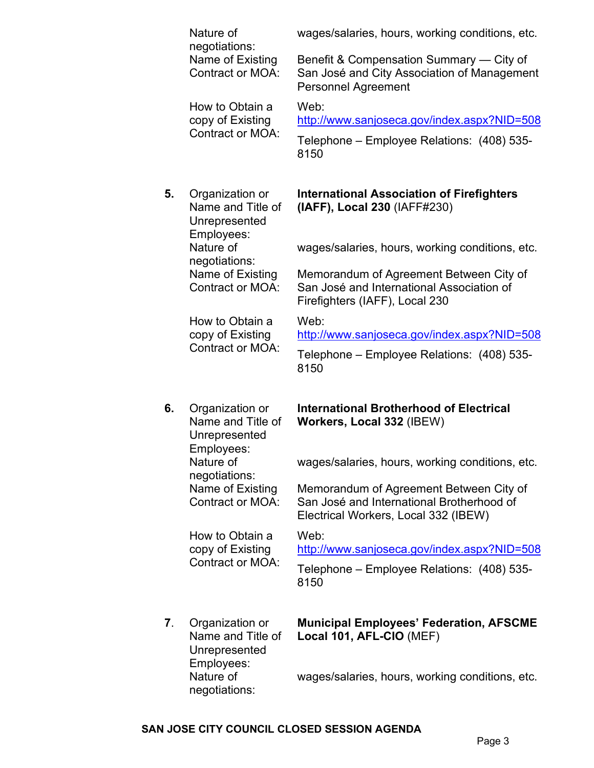|                | Nature of<br>negotiations:<br>Name of Existing<br>Contract or MOA:<br>How to Obtain a<br>copy of Existing<br><b>Contract or MOA:</b>                                                                               | wages/salaries, hours, working conditions, etc.<br>Benefit & Compensation Summary — City of<br>San José and City Association of Management<br><b>Personnel Agreement</b><br>Web:<br>http://www.sanjoseca.gov/index.aspx?NID=508<br>Telephone – Employee Relations: (408) 535-<br>8150                                                                                       |
|----------------|--------------------------------------------------------------------------------------------------------------------------------------------------------------------------------------------------------------------|-----------------------------------------------------------------------------------------------------------------------------------------------------------------------------------------------------------------------------------------------------------------------------------------------------------------------------------------------------------------------------|
| 5.             | Organization or<br>Name and Title of<br>Unrepresented<br>Employees:<br>Nature of<br>negotiations:<br>Name of Existing<br>Contract or MOA:<br>How to Obtain a<br>copy of Existing<br><b>Contract or MOA:</b>        | <b>International Association of Firefighters</b><br>(IAFF), Local 230 (IAFF#230)<br>wages/salaries, hours, working conditions, etc.<br>Memorandum of Agreement Between City of<br>San José and International Association of<br>Firefighters (IAFF), Local 230<br>Web:<br>http://www.sanjoseca.gov/index.aspx?NID=508<br>Telephone – Employee Relations: (408) 535-<br>8150  |
| 6.             | Organization or<br>Name and Title of<br>Unrepresented<br>Employees:<br>Nature of<br>negotiations:<br>Name of Existing<br><b>Contract or MOA:</b><br>How to Obtain a<br>copy of Existing<br><b>Contract or MOA:</b> | <b>International Brotherhood of Electrical</b><br>Workers, Local 332 (IBEW)<br>wages/salaries, hours, working conditions, etc.<br>Memorandum of Agreement Between City of<br>San José and International Brotherhood of<br>Electrical Workers, Local 332 (IBEW)<br>Web:<br>http://www.sanjoseca.gov/index.aspx?NID=508<br>Telephone - Employee Relations: (408) 535-<br>8150 |
| 7 <sub>1</sub> | Organization or<br>Name and Title of<br>Unrepresented<br>Employees:<br>Nature of<br>negotiations:                                                                                                                  | <b>Municipal Employees' Federation, AFSCME</b><br>Local 101, AFL-CIO (MEF)<br>wages/salaries, hours, working conditions, etc.                                                                                                                                                                                                                                               |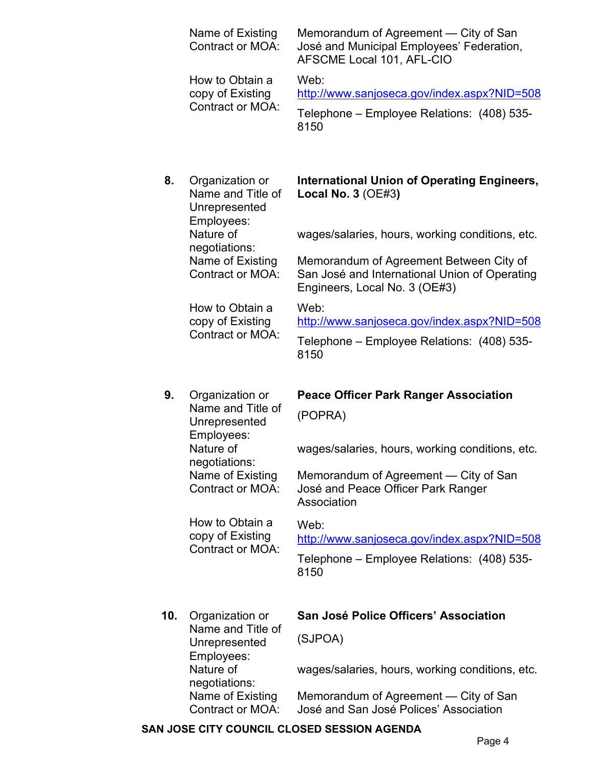|                                                                | Name of Existing<br>Contract or MOA:                                | Memorandum of Agreement — City of San<br>José and Municipal Employees' Federation,<br>AFSCME Local 101, AFL-CIO           |
|----------------------------------------------------------------|---------------------------------------------------------------------|---------------------------------------------------------------------------------------------------------------------------|
|                                                                | How to Obtain a<br>copy of Existing                                 | Web:<br>http://www.sanjoseca.gov/index.aspx?NID=508                                                                       |
|                                                                | <b>Contract or MOA:</b>                                             | Telephone – Employee Relations: (408) 535-<br>8150                                                                        |
| 8.                                                             | Organization or<br>Name and Title of<br>Unrepresented<br>Employees: | International Union of Operating Engineers,<br>Local No. $3$ (OE#3)                                                       |
|                                                                | Nature of<br>negotiations:                                          | wages/salaries, hours, working conditions, etc.                                                                           |
|                                                                | Name of Existing<br>Contract or MOA:                                | Memorandum of Agreement Between City of<br>San José and International Union of Operating<br>Engineers, Local No. 3 (OE#3) |
| How to Obtain a<br>copy of Existing<br><b>Contract or MOA:</b> |                                                                     | Web:<br>http://www.sanjoseca.gov/index.aspx?NID=508                                                                       |
|                                                                | Telephone – Employee Relations: (408) 535-<br>8150                  |                                                                                                                           |
| 9.                                                             | Organization or<br>Name and Title of                                |                                                                                                                           |
|                                                                |                                                                     | <b>Peace Officer Park Ranger Association</b><br>(POPRA)                                                                   |
|                                                                | Unrepresented<br>Employees:<br>Nature of                            | wages/salaries, hours, working conditions, etc.                                                                           |
|                                                                | negotiations:<br>Name of Existing<br><b>Contract or MOA:</b>        | Memorandum of Agreement — City of San<br>José and Peace Officer Park Ranger<br>Association                                |
|                                                                | How to Obtain a<br>copy of Existing                                 | Web:<br>http://www.sanjoseca.gov/index.aspx?NID=508                                                                       |
|                                                                | <b>Contract or MOA:</b>                                             | Telephone – Employee Relations: (408) 535-<br>8150                                                                        |
| 10.                                                            | Organization or                                                     | San José Police Officers' Association                                                                                     |
|                                                                | Name and Title of<br>Unrepresented                                  | (SJPOA)                                                                                                                   |
|                                                                | Employees:<br>Nature of<br>negotiations:                            | wages/salaries, hours, working conditions, etc.                                                                           |

# **SAN JOSE CITY COUNCIL CLOSED SESSION AGENDA**